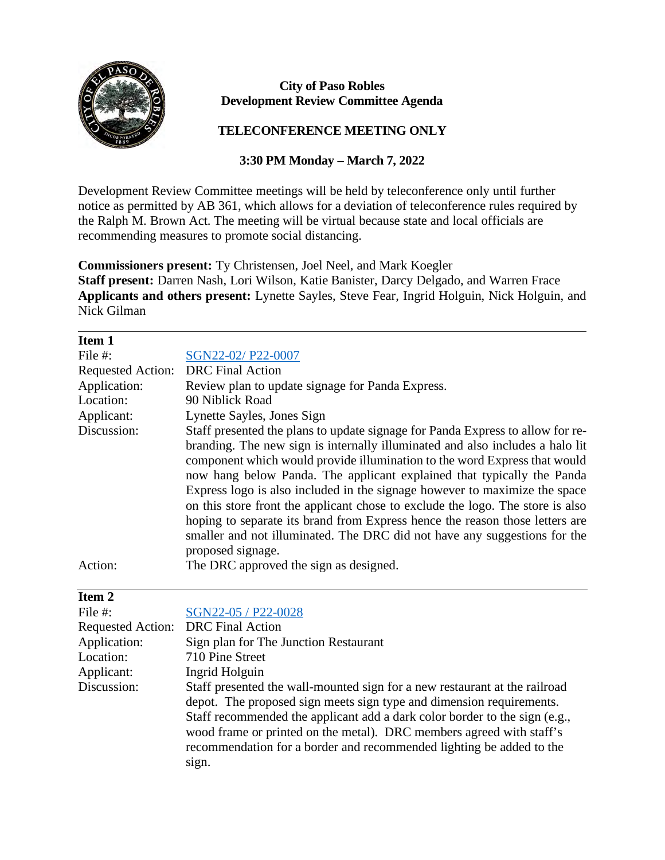

## **City of Paso Robles Development Review Committee Agenda**

## **TELECONFERENCE MEETING ONLY**

## **3:30 PM Monday – March 7, 2022**

Development Review Committee meetings will be held by teleconference only until further notice as permitted by AB 361, which allows for a deviation of teleconference rules required by the Ralph M. Brown Act. The meeting will be virtual because state and local officials are recommending measures to promote social distancing.

**Commissioners present:** Ty Christensen, Joel Neel, and Mark Koegler **Staff present:** Darren Nash, Lori Wilson, Katie Banister, Darcy Delgado, and Warren Frace **Applicants and others present:** Lynette Sayles, Steve Fear, Ingrid Holguin, Nick Holguin, and Nick Gilman

| Item 1                   |                                                                                |
|--------------------------|--------------------------------------------------------------------------------|
| File #:                  | SGN22-02/P22-0007                                                              |
| <b>Requested Action:</b> | <b>DRC</b> Final Action                                                        |
| Application:             | Review plan to update signage for Panda Express.                               |
| Location:                | 90 Niblick Road                                                                |
| Applicant:               | Lynette Sayles, Jones Sign                                                     |
| Discussion:              | Staff presented the plans to update signage for Panda Express to allow for re- |
|                          | branding. The new sign is internally illuminated and also includes a halo lit  |
|                          | component which would provide illumination to the word Express that would      |
|                          | now hang below Panda. The applicant explained that typically the Panda         |
|                          | Express logo is also included in the signage however to maximize the space     |
|                          | on this store front the applicant chose to exclude the logo. The store is also |
|                          | hoping to separate its brand from Express hence the reason those letters are   |
|                          | smaller and not illuminated. The DRC did not have any suggestions for the      |
|                          | proposed signage.                                                              |
| Action:                  | The DRC approved the sign as designed.                                         |

## **Item 2**

 $\overline{a}$ 

| SGN22-05 / P22-0028<br>Requested Action: DRC Final Action                                                                                                                                                                                                                                                                                                                        |
|----------------------------------------------------------------------------------------------------------------------------------------------------------------------------------------------------------------------------------------------------------------------------------------------------------------------------------------------------------------------------------|
|                                                                                                                                                                                                                                                                                                                                                                                  |
|                                                                                                                                                                                                                                                                                                                                                                                  |
| Sign plan for The Junction Restaurant                                                                                                                                                                                                                                                                                                                                            |
| 710 Pine Street                                                                                                                                                                                                                                                                                                                                                                  |
| Ingrid Holguin                                                                                                                                                                                                                                                                                                                                                                   |
| Staff presented the wall-mounted sign for a new restaurant at the railroad<br>depot. The proposed sign meets sign type and dimension requirements.<br>Staff recommended the applicant add a dark color border to the sign (e.g.,<br>wood frame or printed on the metal). DRC members agreed with staff's<br>recommendation for a border and recommended lighting be added to the |
|                                                                                                                                                                                                                                                                                                                                                                                  |